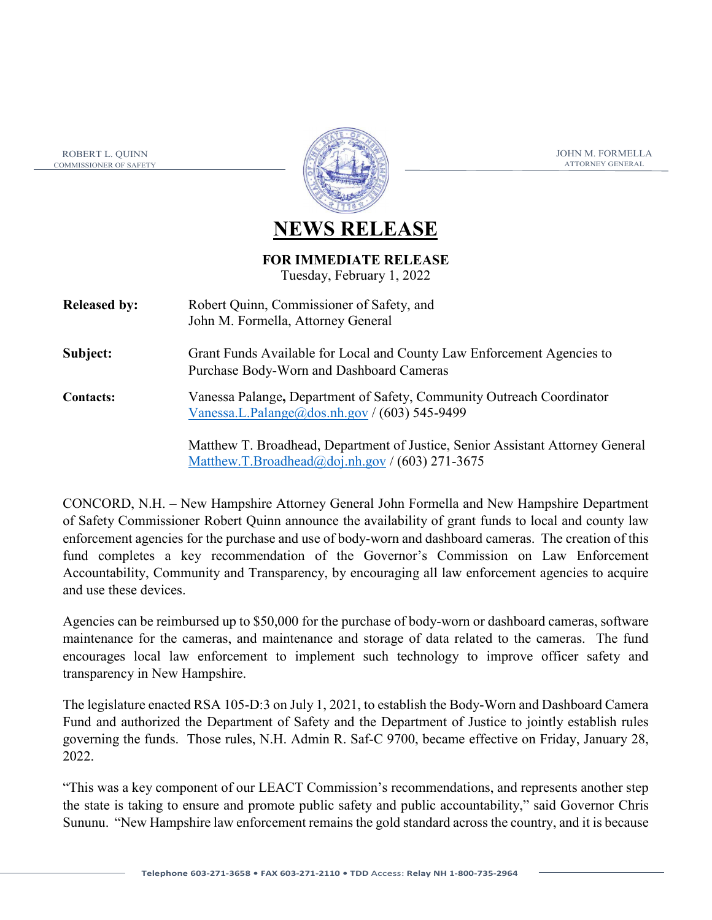ROBERT L. QUINN COMMISSIONER OF SAFETY



JOHN M. FORMELLA ATTORNEY GENERAL

## **NEWS RELEASE**

## **FOR IMMEDIATE RELEASE**

Tuesday, February 1, 2022

| <b>Released by:</b> | Robert Quinn, Commissioner of Safety, and<br>John M. Formella, Attorney General                                        |
|---------------------|------------------------------------------------------------------------------------------------------------------------|
| Subject:            | Grant Funds Available for Local and County Law Enforcement Agencies to<br>Purchase Body-Worn and Dashboard Cameras     |
| <b>Contacts:</b>    | Vanessa Palange, Department of Safety, Community Outreach Coordinator<br>Vanessa.L.Palange@dos.nh.gov / (603) 545-9499 |

Matthew T. Broadhead, Department of Justice, Senior Assistant Attorney General [Matthew.T.Broadhead@doj.nh.gov](mailto:Matthew.T.Broadhead@doj.nh.gov) / (603) 271-3675

CONCORD, N.H. – New Hampshire Attorney General John Formella and New Hampshire Department of Safety Commissioner Robert Quinn announce the availability of grant funds to local and county law enforcement agencies for the purchase and use of body-worn and dashboard cameras. The creation of this fund completes a key recommendation of the Governor's Commission on Law Enforcement Accountability, Community and Transparency, by encouraging all law enforcement agencies to acquire and use these devices.

Agencies can be reimbursed up to \$50,000 for the purchase of body-worn or dashboard cameras, software maintenance for the cameras, and maintenance and storage of data related to the cameras. The fund encourages local law enforcement to implement such technology to improve officer safety and transparency in New Hampshire.

The legislature enacted RSA 105-D:3 on July 1, 2021, to establish the Body-Worn and Dashboard Camera Fund and authorized the Department of Safety and the Department of Justice to jointly establish rules governing the funds. Those rules, N.H. Admin R. Saf-C 9700, became effective on Friday, January 28, 2022.

"This was a key component of our LEACT Commission's recommendations, and represents another step the state is taking to ensure and promote public safety and public accountability," said Governor Chris Sununu. "New Hampshire law enforcement remains the gold standard across the country, and it is because